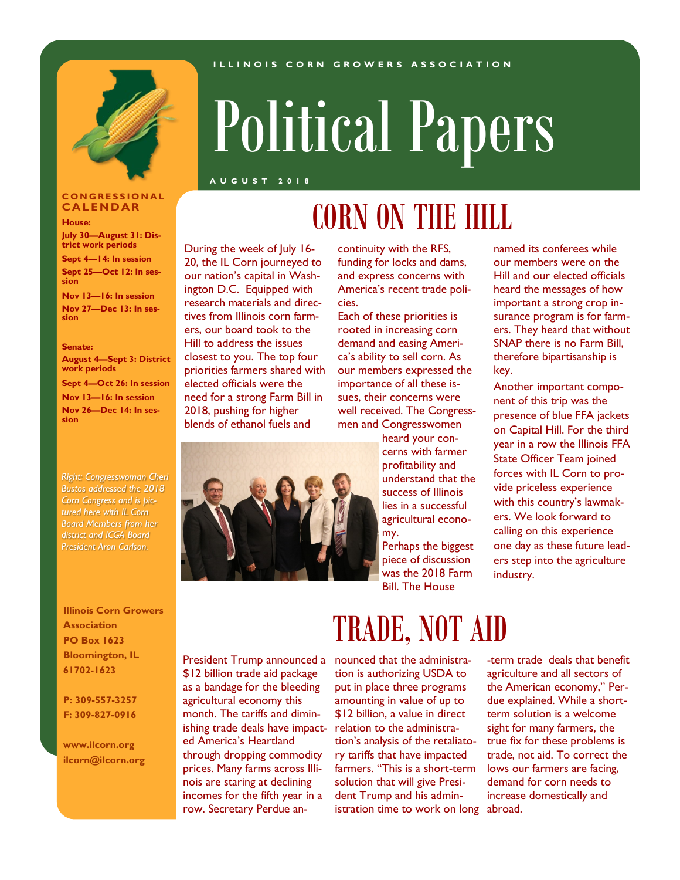#### **I L L I N O I S C O R N G R O W E R S A S S O C I A T I O N**



# Political Papers

**A U G U S T 2 0 1 8**

#### **C O N G R E S S I O N A L C A L E N D A R**

**House:**

**July 30—August 31: District work periods**

**Sept 4—14: In session Sept 25—Oct 12: In session**

**Nov 13—16: In session Nov 27—Dec 13: In session**

#### **Senate:**

**August 4—Sept 3: District work periods Sept 4—Oct 26: In session Nov 13—16: In session Nov 26—Dec 14: In session**

*Right: Congresswoman Cheri Bustos addressed the 2018 Corn Congress and is pictured here with IL Corn Board Members from her district and ICGA Board President Aron Carlson.*

#### **Illinois Corn Growers Association PO Box 1623 Bloomington, IL 61702-1623**

**P: 309-557-3257 F: 309-827-0916**

**www.ilcorn.org ilcorn@ilcorn.org**

## CORN ON THE HILL

During the week of July 16- 20, the IL Corn journeyed to our nation's capital in Washington D.C. Equipped with research materials and directives from Illinois corn farmers, our board took to the Hill to address the issues closest to you. The top four priorities farmers shared with elected officials were the need for a strong Farm Bill in 2018, pushing for higher blends of ethanol fuels and



continuity with the RFS, funding for locks and dams, and express concerns with America's recent trade policies.

Each of these priorities is rooted in increasing corn demand and easing America's ability to sell corn. As our members expressed the importance of all these issues, their concerns were well received. The Congressmen and Congresswomen

> heard your concerns with farmer profitability and understand that the success of Illinois lies in a successful agricultural economy.

Perhaps the biggest piece of discussion was the 2018 Farm Bill. The House

named its conferees while our members were on the Hill and our elected officials heard the messages of how important a strong crop insurance program is for farmers. They heard that without SNAP there is no Farm Bill, therefore bipartisanship is key.

Another important component of this trip was the presence of blue FFA jackets on Capital Hill. For the third year in a row the Illinois FFA State Officer Team joined forces with IL Corn to provide priceless experience with this country's lawmakers. We look forward to calling on this experience one day as these future leaders step into the agriculture industry.

President Trump announced a \$12 billion trade aid package as a bandage for the bleeding agricultural economy this month. The tariffs and diminishing trade deals have impacted America's Heartland through dropping commodity prices. Many farms across Illinois are staring at declining incomes for the fifth year in a row. Secretary Perdue an-

### TRADE, NOT AID

nounced that the administration is authorizing USDA to put in place three programs amounting in value of up to \$12 billion, a value in direct relation to the administration's analysis of the retaliatory tariffs that have impacted farmers. "This is a short-term solution that will give President Trump and his administration time to work on long abroad.

-term trade deals that benefit agriculture and all sectors of the American economy," Perdue explained. While a shortterm solution is a welcome sight for many farmers, the true fix for these problems is trade, not aid. To correct the lows our farmers are facing, demand for corn needs to increase domestically and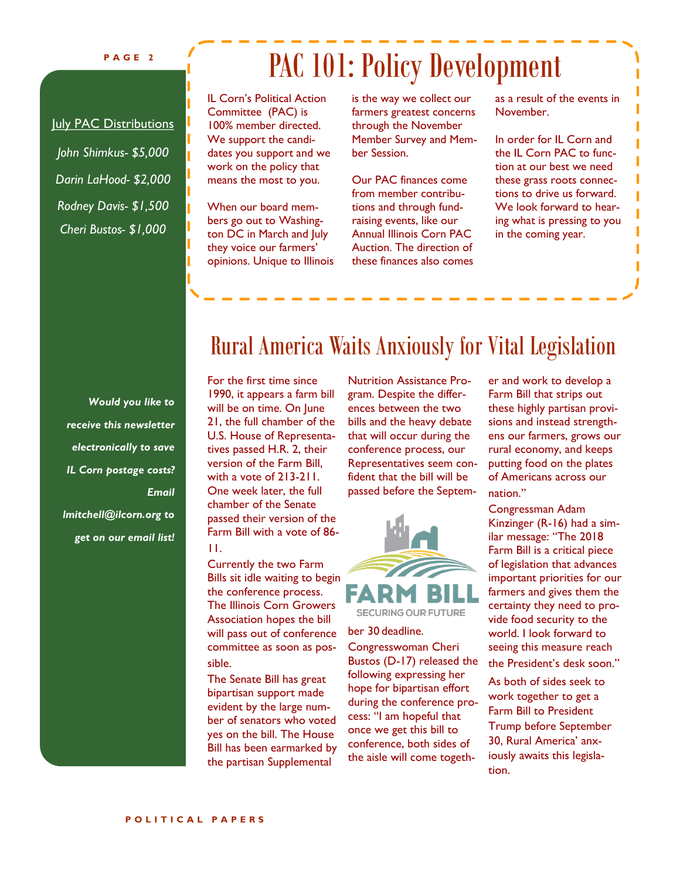#### **P A G E 2**

### PAC 101: Policy Development

July PAC Distributions

*John Shimkus- \$5,000 Darin LaHood- \$2,000 Rodney Davis- \$1,500 Cheri Bustos- \$1,000*

IL Corn's Political Action Committee (PAC) is 100% member directed. We support the candidates you support and we work on the policy that means the most to you.

When our board members go out to Washington DC in March and July they voice our farmers' opinions. Unique to Illinois is the way we collect our farmers greatest concerns through the November Member Survey and Member Session.

Our PAC finances come from member contributions and through fundraising events, like our Annual Illinois Corn PAC Auction. The direction of these finances also comes as a result of the events in November.

In order for IL Corn and the IL Corn PAC to function at our best we need these grass roots connections to drive us forward. We look forward to hearing what is pressing to you in the coming year.

T

*Would you like to receive this newsletter electronically to save IL Corn postage costs? Email lmitchell@ilcorn.org to* 

*get on our email list!*

### Rural America Waits Anxiously for Vital Legislation

For the first time since 1990, it appears a farm bill will be on time. On June 21, the full chamber of the U.S. House of Representatives passed H.R. 2, their version of the Farm Bill, with a vote of 213-211. One week later, the full chamber of the Senate passed their version of the Farm Bill with a vote of 86- 11.

Currently the two Farm Bills sit idle waiting to begin the conference process. The Illinois Corn Growers Association hopes the bill will pass out of conference committee as soon as possible.

The Senate Bill has great bipartisan support made evident by the large number of senators who voted yes on the bill. The House Bill has been earmarked by the partisan Supplemental

Nutrition Assistance Program. Despite the differences between the two bills and the heavy debate that will occur during the conference process, our Representatives seem confident that the bill will be passed before the Septem-



#### ber 30 deadline.

Congresswoman Cheri Bustos (D-17) released the following expressing her hope for bipartisan effort during the conference process: "I am hopeful that once we get this bill to conference, both sides of the aisle will come togeth-

er and work to develop a Farm Bill that strips out these highly partisan provisions and instead strengthens our farmers, grows our rural economy, and keeps putting food on the plates of Americans across our nation."

Congressman Adam Kinzinger (R-16) had a similar message: "The 2018 Farm Bill is a critical piece of legislation that advances important priorities for our farmers and gives them the certainty they need to provide food security to the world. I look forward to seeing this measure reach

the President's desk soon."

As both of sides seek to work together to get a Farm Bill to President Trump before September 30, Rural America' anxiously awaits this legislation.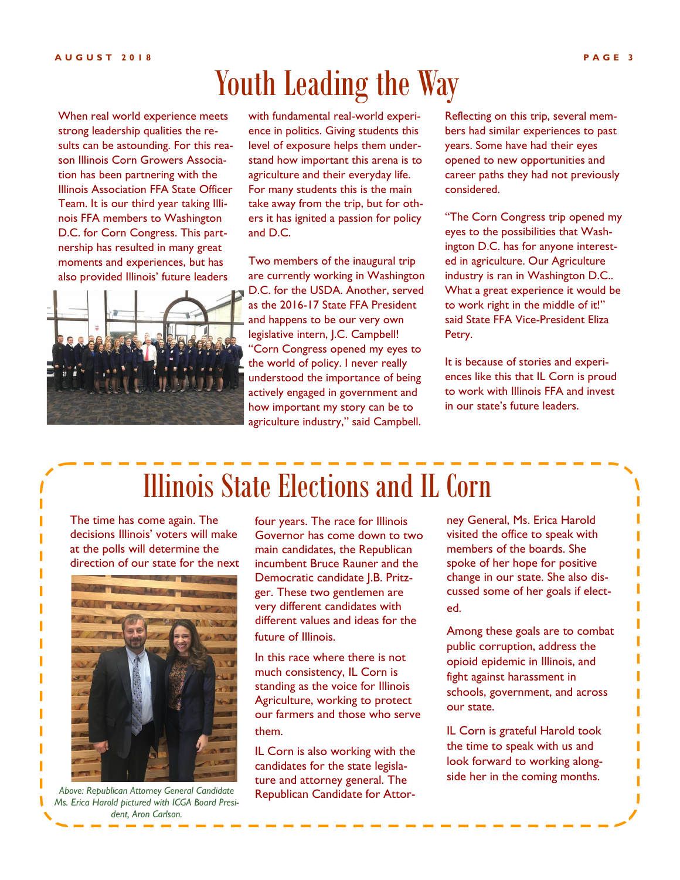### Youth Leading the Way

When real world experience meets strong leadership qualities the results can be astounding. For this reason Illinois Corn Growers Association has been partnering with the Illinois Association FFA State Officer Team. It is our third year taking Illinois FFA members to Washington D.C. for Corn Congress. This partnership has resulted in many great moments and experiences, but has also provided Illinois' future leaders



with fundamental real-world experience in politics. Giving students this level of exposure helps them understand how important this arena is to agriculture and their everyday life. For many students this is the main take away from the trip, but for others it has ignited a passion for policy and D.C.

Two members of the inaugural trip are currently working in Washington D.C. for the USDA. Another, served as the 2016-17 State FFA President and happens to be our very own legislative intern, J.C. Campbell! "Corn Congress opened my eyes to the world of policy. I never really understood the importance of being actively engaged in government and how important my story can be to agriculture industry," said Campbell.

Reflecting on this trip, several members had similar experiences to past years. Some have had their eyes opened to new opportunities and career paths they had not previously considered.

"The Corn Congress trip opened my eyes to the possibilities that Washington D.C. has for anyone interested in agriculture. Our Agriculture industry is ran in Washington D.C.. What a great experience it would be to work right in the middle of it!" said State FFA Vice-President Eliza Petry.

It is because of stories and experiences like this that IL Corn is proud to work with Illinois FFA and invest in our state's future leaders.

### Illinois State Elections and IL Corn

The time has come again. The decisions Illinois' voters will make at the polls will determine the direction of our state for the next



*Above: Republican Attorney General Candidate Ms. Erica Harold pictured with ICGA Board President, Aron Carlson.*

four years. The race for Illinois Governor has come down to two main candidates, the Republican incumbent Bruce Rauner and the Democratic candidate J.B. Pritzger. These two gentlemen are very different candidates with different values and ideas for the future of Illinois.

In this race where there is not much consistency, IL Corn is standing as the voice for Illinois Agriculture, working to protect our farmers and those who serve them.

IL Corn is also working with the candidates for the state legislature and attorney general. The Republican Candidate for Attorney General, Ms. Erica Harold visited the office to speak with members of the boards. She spoke of her hope for positive change in our state. She also discussed some of her goals if elected.

Among these goals are to combat public corruption, address the opioid epidemic in Illinois, and fight against harassment in schools, government, and across our state.

IL Corn is grateful Harold took the time to speak with us and look forward to working alongside her in the coming months.